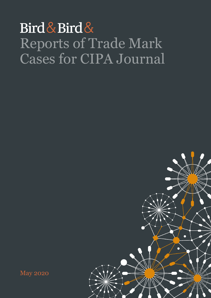## Bird & Bird & Reports of Trade Mark Cases for CIPA Journal



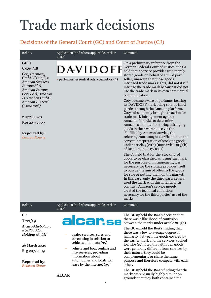# Trade mark decisions

## Decisions of the General Court (GC) and Court of Justice (CJ)

| Ref no.                                                                                                                                                                                                                                                                       | Application (and where applicable, earlier<br>mark)                                                                                                                                                                                                                         | Comment                                                                                                                                                                                                                                                                                                                                                                                                                                                                                                                                                                                                                                                                                                                                                                                                                                                                                                                                                                                                                                                                                                                                                                                                                                                                                                                                                                                                       |
|-------------------------------------------------------------------------------------------------------------------------------------------------------------------------------------------------------------------------------------------------------------------------------|-----------------------------------------------------------------------------------------------------------------------------------------------------------------------------------------------------------------------------------------------------------------------------|---------------------------------------------------------------------------------------------------------------------------------------------------------------------------------------------------------------------------------------------------------------------------------------------------------------------------------------------------------------------------------------------------------------------------------------------------------------------------------------------------------------------------------------------------------------------------------------------------------------------------------------------------------------------------------------------------------------------------------------------------------------------------------------------------------------------------------------------------------------------------------------------------------------------------------------------------------------------------------------------------------------------------------------------------------------------------------------------------------------------------------------------------------------------------------------------------------------------------------------------------------------------------------------------------------------------------------------------------------------------------------------------------------------|
| <b>CJEU</b><br>$C - 567/18$<br>Coty Germany<br>$GmbH$ ("Coty") $v$<br><b>Amazon Services</b><br>Europe Sàrl,<br>Amazon Europe<br>Core Sàrl, Amazon<br>FC Graben GmbH,<br>Amazon EU Sàrl<br>("Amazon")<br>2 April 2020<br>Reg 207/2009<br><b>Reported by:</b><br>Lauren Kourie | <b>DAVIDOFF</b><br>- perfumes, essential oils, cosmetics (3)                                                                                                                                                                                                                | On a preliminary reference from the<br>German Federal Court of Justice, the CJ<br>held that a service provider who merely<br>stored goods on behalf of a third party<br>seller, unaware that those goods<br>infringed trade mark rights, did not itself<br>infringe the trade mark because it did not<br>use the trade mark in its own commercial<br>communication.<br>Coty became aware of perfumes bearing<br>its DAVIDOFF mark being sold by third<br>parties through the Amazon platform.<br>Coty subsequently brought an action for<br>trade mark infringement against<br>Amazon. In order to determine<br>Amazon's liability for storing infringing<br>goods in their warehouse via the<br>'Fulfilled by Amazon' service, the<br>referring court sought clarification on the<br>correct interpretation of stocking goods<br>under article $9(2)(b)$ (now article $9(3)(b)$ )<br>of Regulation 2017/1001).<br>The CJ held that for the 'stocking' of<br>goods to be classified as 'using' the mark<br>for the purpose of infringement, it is<br>necessary for the storage provider itself<br>to pursue the aim of offering the goods<br>for sale or putting them on the market.<br>In this case, only the third party sellers<br>used the mark with this intention. In<br>contrast, Amazon's service merely<br>created the technical conditions<br>necessary for the third parties' use of the<br>marks. |
| Ref no.                                                                                                                                                                                                                                                                       | Application (and where applicable, earlier<br>mark)                                                                                                                                                                                                                         | Comment                                                                                                                                                                                                                                                                                                                                                                                                                                                                                                                                                                                                                                                                                                                                                                                                                                                                                                                                                                                                                                                                                                                                                                                                                                                                                                                                                                                                       |
| GC<br>$T - 77/19$<br>Alcar Aktiebolag v<br>EUIPO; Alcar<br><b>Holding GmbH</b><br>26 March 2020<br>Reg 207/2009<br><b>Reported by:</b><br>Rebecca Slater                                                                                                                      | alcar.se<br>dealer services, sales and<br>advertising in relation to<br>vehicles and boats (35)<br>vehicle and boat renting and<br>hire services; providing<br>information about<br>automobiles and boats for<br>lease by the internet (39)<br><b>ALCAR</b><br>$\mathbf{1}$ | The GC upheld the BoA's decision that<br>there was a likelihood of confusion<br>between the marks under article $8(1)(b)$ .<br>The GC upheld the BoA's finding that<br>there was a low to average degree of<br>similarity between the goods covered by<br>the earlier mark and the services applied<br>for. The GC noted that although goods<br>were generally different from services by<br>their nature, they could be<br>complementary, or share the same<br>purpose and therefore compete with each<br>other.<br>The GC upheld the BoA's finding that the<br>marks were visually highly similar on<br>grounds that they both contained the                                                                                                                                                                                                                                                                                                                                                                                                                                                                                                                                                                                                                                                                                                                                                                |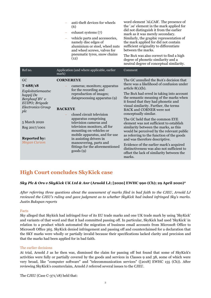|                                                                                                                                                             | anti-theft devices for wheels<br>(6)<br>exhaust systems (7)<br>vehicle parts and accessories,<br>$\qquad \qquad -$<br>namely disc edges of<br>aluminium or steel, wheel nuts<br>and wheel screws, valves for<br>pneumatic tyres, snow chains<br>(12)                                             | word element 'ALCAR'. The presence of<br>the '.se' element in the mark applied for<br>did not distinguish it from the earlier<br>mark as it was merely secondary.<br>Similarly, the graphic representation of<br>the mark applied for did not contain<br>sufficient originality to differentiate<br>between the marks.<br>The BoA was also correct to find a high<br>degree of phonetic similarity and a<br>neutral degree of conceptual similarity.                                                                     |
|-------------------------------------------------------------------------------------------------------------------------------------------------------------|--------------------------------------------------------------------------------------------------------------------------------------------------------------------------------------------------------------------------------------------------------------------------------------------------|--------------------------------------------------------------------------------------------------------------------------------------------------------------------------------------------------------------------------------------------------------------------------------------------------------------------------------------------------------------------------------------------------------------------------------------------------------------------------------------------------------------------------|
| Ref no.                                                                                                                                                     | Application (and where applicable, earlier<br>mark)                                                                                                                                                                                                                                              | Comment                                                                                                                                                                                                                                                                                                                                                                                                                                                                                                                  |
| GC<br>$T-688/18$<br>Exploitatiemaatsc<br>happij De<br>Berghaaf BV $v$<br>EUIPO; Brigade<br><b>Electronics Group</b><br>plc<br>5 March 2020<br>Reg 2017/1001 | <b>CORNEREYE</b><br>cameras; monitors; apparatus<br>for the recording and<br>reproduction of images;<br>dataprocessing apparatus (9)<br><b>BACKEYE</b><br>closed circuit television<br>apparatus comprising<br>television cameras and<br>television monitors, all for<br>mounting on vehicles or | The GC annulled the BoA's decision that<br>there was a likelihood of confusion under<br>article $8(1)(b)$ .<br>The BoA had erred in taking into account<br>the semantic meaning of the marks when<br>it found that they had phonetic and<br>visual similarity. Further, the terms<br><b>BACK</b> and <b>CORNER</b> were not<br>conceptually similar.<br>The GC held that the common EYE<br>element was not sufficient to establish<br>similarity between the marks, as this<br>would be perceived by the relevant public |
| <b>Reported by:</b><br><b>Megan Curzon</b>                                                                                                                  | mobile apparatus, and for use<br>in assisting drivers in<br>manouvering, parts and<br>fittings for the aforementioned<br>$\text{goods}(9)$                                                                                                                                                       | as referring to the function of the goods<br>and was therefore descriptive.<br>Evidence of the earlier mark's acquired<br>distinctiveness was also not sufficient to<br>offset the lack of similarity between the<br>marks.                                                                                                                                                                                                                                                                                              |

## **High Court concludes SkyKick case**

## *Sky Plc & Ors v SkyKick UK Ltd & Anr* **(Arnold LJ; [2020] EWHC 990 (Ch); 29 April 2020)\***

*After referring three questions about the assessment of marks filed in bad faith to the CJEU, Arnold LJ reviewed the CJEU's ruling and gave judgment as to whether SkyKick had indeed infringed Sky's marks. Justin Bukspan reports*

## Facts

Sky alleged that Skykick had infringed four of its EU trade marks and one UK trade mark by using 'SkyKick' and variants of that word and that it had committed passing off. In particular, SkyKick had used 'SkyKick' in relation to a product which automated the migration of business email accounts from Microsoft Office to Microsoft Office 365. SkyKick denied infringement and passing off and counterclaimed for a declaration that the SKY marks were wholly or partially invalid because their specifications lacked clarity and precision and that the marks had been applied for in bad faith.

#### The earlier decisions

At trial, Arnold J as he then was, dismissed the claim for passing off but found that some of SkyKick's activities were fully or partially covered by the goods and services in Classes 9 and 38, some of which were very broad, like "computer software" and "telecommunication services" ([2018] EWHC 155 (Ch)). After reviewing SkyKick's counterclaim, Arnold J referred several issues to the CJEU.

The CJEU (Case C-371/18) held that: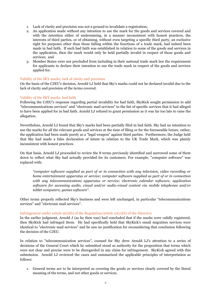- 1. Lack of clarity and precision was not a ground to invalidate a registration;
- 2. An application made without any intention to use the mark for the goods and services covered and with the intention either of undermining, in a manner inconsistent with honest practices, the interests of third parties, or of obtaining, without even targeting a specific third party, an exclusive right for purposes other than those falling within the functions of a trade mark, had indeed been made in bad faith. If such bad faith was established in relation to some of the goods and services in the application, then the mark would only be held partially invalid in respect of those goods and services; and
- 3. Member States were not precluded from including in their national trade mark law the requirement for applicants to declare their intention to use the trade mark in respect of the goods and services applied for.

## Validity of the SKY marks: lack of clarity and precision

On the basis of the CJEU's decision, Arnold LJ held that Sky's marks could not be declared invalid due to the lack of clarity and precision of the terms covered.

## Validity of the SKY marks: bad faith

Following the CJEU's response regarding partial invalidity for bad faith, SkyKick sought permission to add "telecommunications services" and "electronic mail services" to the list of specific services that it had alleged to have been applied for in bad faith. Arnold LJ refused to grant permission as it was far too late to raise the allegation.

Nevertheless, Arnold LJ found that Sky's marks had been partially filed in bad faith. Sky had no intention to use the marks for all the relevant goods and services at the time of filing or for the foreseeable future, rather, the application had been made purely as a "legal weapon" against third parties. Furthermore, the Judge held that Sky had made a false declaration of intent in relation to the UK Trade Mark, which was plainly inconsistent with honest practices.

On that basis, Arnold LJ proceeded to review the 8 terms previously identified and narrowed some of them down to reflect what Sky had actually provided for its customers. For example, "computer software" was replaced with:

*"computer software supplied as part of or in connection with any television, video recording or home entertainment apparatus or service; computer software supplied as part of or in connection with any telecommunications apparatus or service; electronic calendar software; application software for accessing audio, visual and/or audio-visual content via mobile telephones and/or tablet computers; games software".*

Other terms properly reflected Sky's business and were left unchanged, in particular "telecommunications services" and "electronic mail services".

## Infringement under article  $9(2)(b)$  of the Regulation/article 10(2)(b) of the Directive

In the earlier judgment, Arnold J (as he then was) had concluded that if the marks were validly registered, then SkyKick had infringed them. He had specifically held that SkyKick's email migration services were identical to "electronic mail services" and he saw no justification for reconsidering that conclusion following the decision of the CJEU.

In relation to "telecommunication services", counsel for Sky drew Arnold LJ's attention to a series of decisions of the General Court which he submitted stood as authority for the proposition that terms which were not clear and precise were to be disregarded in any claim for infringement. SkyKick agreed with this submission. Arnold LJ reviewed the cases and summarized the applicable principles of interpretation as follows:

1. General terms are to be interpreted as covering the goods or services clearly covered by the literal meaning of the terms, and not other goods or services.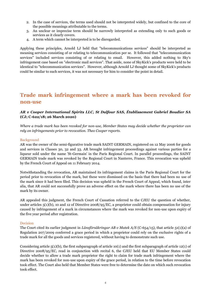- 2. In the case of services, the terms used should not be interpreted widely, but confined to the core of the possible meanings attributable to the terms.
- 3. An unclear or imprecise term should be narrowly interpreted as extending only to such goods or services as it clearly covers.
- 4. A term which cannot be interpreted is to be disregarded.

Applying these principles, Arnold LJ held that "telecommunications services" should be interpreted as meaning services consisting of or relating to telecommunication per se. It followed that "telecommunication services" included services consisting of or relating to email. However, this added nothing to Sky's infringement case based on "electronic mail services". That aside, none of SkyKick's products were held to be identical to "telecommunication services". However, although Arnold LJ thought some of SkyKick's products could be similar to such services, it was not necessary for him to consider the point in detail.

## **Trade mark infringement where a mark has been revoked for non-use**

## *AR v Cooper International Spirits LLC, St Dalfour SAS, Établissement Gabriel Boudier SA*  **(CJ; C-622/18; 26 March 2020)**

*Where a trade mark has been revoked for non-use, Member States may decide whether the proprietor can rely on infringements prior to revocation. Theo Cooper reports.*

## Background

AR was the owner of the semi-figurative trade mark SAINT GERMAIN, registered on 12 May 2006 for goods and services in Classes 30, 32 and 33. AR brought infringement proceedings against various parties for a liqueur sold under the name 'St-Germain' in the Paris Regional Court. In parallel proceedings, the SAINT GERMAIN trade mark was revoked by the Regional Court in Nanterre, France. This revocation was upheld by the French Court of Appeal on 11 February 2014.

Notwithstanding the revocation, AR maintained its infringement claims in the Paris Regional Court for the period prior to revocation of the mark, but these were dismissed on the basis that there had been no use of the mark since it had been filed. This decision was upheld in the French Court of Appeal, which found, inter alia, that AR could not successfully prove an adverse effect on the mark where there has been no use of the mark by its owner.

AR appealed this judgment, the French Court of Cassation referred to the CJEU the question of whether, under articles 5(1)(b), 10 and 12 of Directive 2008/95/EC, a proprietor could obtain compensation for injury caused by infringement of a mark in circumstances where the mark was revoked for non-use upon expiry of the five year period after registration.

## Decision

The Court cited its earlier judgment in *Länsförsäkringar AB v Matek A/S* (C-654/15), that article 51(1)(a) of Regulation 207/2009 conferred a grace period in which a proprietor could rely on the exclusive rights of a trade mark for all the goods and services registered, without having to demonstrate such use.

Considering article  $5(1)(b)$ , the first subparagraph of article 10(1) and the first subparagraph of article 12(1) of Directive 2008/95/EC, read in conjunction with recital 6, the CJEU held that EU Member States could decide whether to allow a trade mark proprietor the right to claim for trade mark infringement where the mark has been revoked for non-use upon expiry of the grace period, in relation to the time before revocation took effect. The Court also held that Member States were free to determine the date on which such revocation took effect.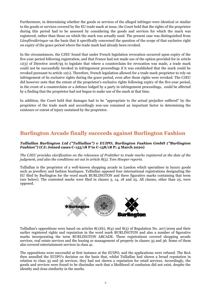Furthermore, in determining whether the goods or services of the alleged infringer were identical or similar to the goods or services covered by the EU trade mark at issue, the Court held that the rights of the proprietor during this period had to be assessed by considering the goods and services for which the mark was registered, rather than those on which the mark was actually used. The present case was distinguished from *Länsförsäkringar* on the basis that it specifically concerned the question of the scope of that exclusive right on expiry of the grace period where the trade mark had already been revoked.

In the circumstances, the CJEU found that under French legislation revocation occurred upon expiry of the five-year period following registration, and that France had not made use of the option provided for in article 11(3) of Directive 2008/95 to legislate that where a counterclaim for revocation was made, a trade mark could not be successfully invoked in infringement proceedings if it was established that the mark could be revoked pursuant to article 12(1). Therefore, French legislation allowed for a trade mark proprietor to rely on infringement of its exclusive rights during the grace period, even after those rights were revoked. The CJEU did however note that the extent of the proprietor's exclusive rights following expiry of the five-year period, in the event of a counterclaim or a defence lodged by a party in infringement proceedings, could be affected by a finding that the proprietor had not begun to make use of the mark at that time.

In addition, the Court held that damages had to be "appropriate to the actual prejudice suffered" by the proprietor of the trade mark and accordingly non-use remained an important factor in determining the existence or extent of injury sustained by the proprietor.

## **Burlington Arcade finally succeeds against Burlington Fashion**

## *Tulliallan Burlington Ltd ("Tulliallan") v EUIPO, Burlington Fashion GmbH ("Burlington Fashion")* **(CJ; Joined cases C-155/18 P to C-158/18 P; 4 March 2020)**

*The CJEU provides clarification on the relevance of Praktiker to trade marks registered at the date of the judgment, and also the conditions set out in article 8(5). Tom Hooper reports.* 

Tulliallan is the proprietor of a well-known shopping arcade in London which specialises in luxury goods such as jewellery and fashion boutiques. Tulliallan opposed four international registrations designating the EU filed by Burlington for the word mark BURLINGTON and three figurative marks containing that term (see below). The contested marks were filed in classes 3, 14, 18 and 25. All classes, other than 25, were opposed.



Tulliallan's oppositions were based on articles  $8(1)(b)$ ,  $8(4)$  and  $8(5)$  of Regulation No. 207/2009 and their earlier registered rights and reputation in the word mark BURLINGTON and also a number of figurative marks incorporating the term BURLINGTON ARCADE. These registrations covered shopping arcade services, real estate services and the leasing or management of property in classes 35 and 36. Some of them also covered entertainment services in class 41.

The oppositions were successful at first instance at the EUIPO, and the applications were refused. The BoA then annulled the EUIPO's decision on the basis that, whilst Tulliallan had shown a broad reputation in relation to class 35 and 36 services, they had not shown a reputation for retail services. Accordingly, the goods and services were found to be dissimilar such that a likelihood of confusion did not exist, despite the identity and close similarity in the marks.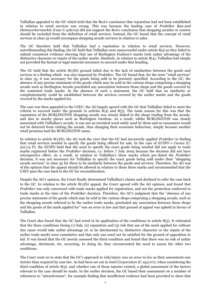Tulliallan appealed to the GC which held that the BoA's conclusion that reputation had not been established in relation to retail services was wrong. This was because the leading case of *Praktiker Bau-und Heimwerkermarkte* (Case C-418/02) did not support the BoA's conclusion that shopping arcades or centres should be excluded from the definition of retail services. Instead, the GC found that the concept of retail services in class 35 would encompass shopping arcade services in relation to sales.

The GC therefore held that Tulliallan had a reputation in relation to retail services. However, notwithstanding this finding, the GC held that Tulliallan were unsuccessful under article 8(5) as they failed to submit consistent evidence showing that use of Burlington Fashion's marks took unfair advantage of the distinctive character or repute of the earlier marks. Similarly, in relation to article 8(4), Tulliallan had simply not provided the factual or legal material necessary to succeed under that heading.

The GC held that the article 8(1)(b) ground failed due to the lack of similarities between the goods and services in a finding which was also impacted by *Praktiker.* The GC found that, for the term "retail services" in class 35, it was necessary for the goods being sold to be precisely specified. According to the GC, the absence of any precise statement of the goods which may be sold in the various shops comprising a shopping arcade such as Burlington Arcade precluded any association between those shops and the goods covered by the contested trade marks. In the absence of such a statement, the GC held that no similarity or complementarity could be established between the services covered by the earlier marks and the goods covered by the marks applied for.

The case was then appealed to the CJEU; the AG largely agreed with the GC that Tulliallan failed to meet the criteria to succeed under the grounds in articles  $8(4)$  and  $8(5)$ . The main reason for this was that the reputation of the BURLINGTON shopping arcade was closely linked to the shops trading from the arcade, and also to nearby places such as Burlington Gardens. As a result, whilst BURLINGTON was closely associated with Tulliallan's arcade, it was not an invented word solely used by them and so consumers would not be deterred from visiting the arcade, thus changing their economic behaviour, simply because another retail premises had the BURLINGTON name.

In relation to article 8(1)(b), the AG took the view that the GC had incorrectly applied *Praktiker* in finding that retail services needed to specify the goods being offered for sale. In the case of *EUIPO v Cactus* (C-501/15 P), the EUIPO held that the need to specify the exact goods being retailed did not apply to trade marks registered before the *Praktiker* decision, i.e. before 7 July 2005 because the decision did not have retrospective effect. As a result, in relation to Tulliallan's three marks which pre-dated the *Praktiker*  decision, it was not necessary for Tulliallan to specify the exact goods being sold under their "shopping arcade services" in class 35 for there to be similarity between the goods and services. Therefore, the AG was of the opinion that the appeal should be allowed in relation to these three marks and recommended that the CJEU pass the case back to the GC for reconsideration.

Despite the AG's opinion, the Court finally determined Tulliallan's claims and declined to refer the case back to the GC. In relation to the article 8(1)(b) appeal, the Court agreed with the AG opinion, and found that *Praktiker* was only concerned with trade marks applied for registration, and not the protection conferred to trade marks at the time of the *Praktiker* decision. Therefore, the GC's judgment that the "absence of any precise statement of the goods which may be sold in the various shops comprising a shopping arcade, such as the shopping arcade referred to by the earlier trade marks, precluded any association between those shops and the goods of the mark applied for" was an error in law and that ground of appeal was upheld in favour of Tulliallan*.*

The Court also found that the GC had erred in its application of the conditions in article 8(5). It reiterated that the three conditions (being (1) link, (2) reputation and (3) risk that use of the mark applied for without due cause would take unfair advantage of, or be detrimental to, distinctive character or the repute of the earlier trade mark) were cumulative and that only one need not be satisfied for the ground of opposition to fail. It was found that the GC merely assessed the third condition and found that there was no risk of unfair advantage, detriment, etc, occurring. In doing do, they circumvented the need to assess the other two conditions.

The Court went on to state that the GC's approach to risk/injury was an error in law as their assessment was stricter than required by case law. As had been set out in *Intel Corporation* (C-252/07), when considering the third condition of article 8(5), and whether one of those injuries existed, a global assessment of the factors relevant to the case should be made. In the earlier decision, the GC based their assessment on a number of references to "attractiveness", for example finding that insufficient evidence had been provided to show that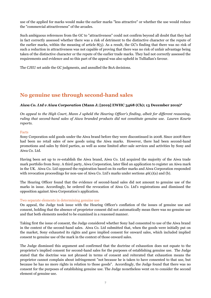use of the applied for marks would make the earlier marks "less attractive" or whether the use would reduce the "commercial attractiveness" of the arcades.

Such ambiguous references from the GC to "attractiveness" could not confirm beyond all doubt that they had in fact correctly assessed whether there was a risk of detriment to the distinctive character or the repute of the earlier marks, within the meaning of article 8(5). As a result, the GC's finding that there was no risk of such a reduction in attractiveness was not capable of proving that there was no risk of unfair advantage being taken of the distinctive character or the repute of the earlier trade marks. They had not correctly assessed the requirements and evidence and so this part of the appeal was also upheld in Tulliallan's favour.

The CJEU set aside the GC judgments, and annulled the BoA decisions.

## **No genuine use through second-hand sales**

## *Aiwa Co. Ltd v Aiwa Corporation* **(Mann J; [2019] EWHC 3468 (Ch); 13 December 2019)\***

*On appeal to the High Court, Mann J upheld the Hearing Officer's finding, albeit for different reasoning, ruling that second-hand sales of Aiwa branded products did not constitute genuine use. Lauren Kourie reports.*

#### Facts

Sony Corporation sold goods under the Aiwa brand before they were discontinued in 2008. Since 2008 there had been no retail sales of new goods using the Aiwa marks. However, there had been second-hand promotions and sales by third parties, as well as some limited after-sale services and activities by Sony and Aiwa Co. Ltd.

Having been set up to re-establish the Aiwa brand, Aiwa Co. Ltd acquired the majority of the Aiwa trade mark portfolio from Sony. A third party, Aiwa Corporation, later filed an application to register an Aiwa mark in the UK. Aiwa Co. Ltd opposed the registration based on its earlier marks and Aiwa Corporation responded with revocation proceedings for non-use of Aiwa Co. Ltd's marks under sections 46(1)(a) and (b).

The Hearing Officer found that the evidence of second-hand sales did not amount to genuine use of the marks in issue. Accordingly, he ordered the revocation of Aiwa Co. Ltd's registrations and dismissed the opposition against Aiwa Corporation's application.

## Two separate elements in determining genuine use

On appeal, the Judge took issue with the Hearing Officer's conflation of the issues of genuine use and consent, holding that the absence of proprietor consent did not automatically mean there was no genuine use and that both elements needed to be examined in a reasoned manner.

Taking first the issue of consent, the Judge considered whether Sony had consented to use of the Aiwa brand in the context of the second-hand sales. Aiwa Co. Ltd submitted that, when the goods were initially put on the market, Sony exhausted its rights and gave implied consent for onward sales, which included implied consent to genuine use of the mark in the context of those onward sales.

The Judge dismissed this argument and confirmed that the doctrine of exhaustion does not equate to the proprietor's implied consent for second-hand sales for the purposes of establishing genuine use. The Judge stated that the doctrine was not phrased in terms of consent and reiterated that exhaustion means the proprietor cannot complain about infringement "not because he is taken to have consented to that use, but because he has no more rights in relation to those goods". Accordingly, the Judge found that there was no consent for the purposes of establishing genuine use. The Judge nonetheless went on to consider the second element of genuine use.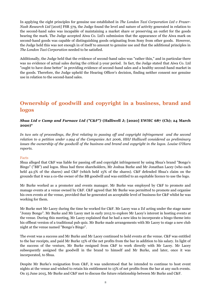In applying the eight principles for genuine use established in *The London Taxi Corporation Ltd v Frazer-Nash Research Ltd* [2016] FSR 579, the Judge found the level and nature of activity generated in relation to the second-hand sales was incapable of maintaining a market share or preserving an outlet for the goods bearing the mark. The Judge accepted Aiwa Co. Ltd's submission that the appearance of the Aiwa mark on second-hand goods was capable of distinguishing goods originating from Sony from other goods. However, the Judge held this was not enough in of itself to amount to genuine use and that the additional principles in *The London Taxi Corporation* needed to be satisfied.

Additionally, the Judge held that the evidence of second-hand sales was "rather thin," and in particular there was no evidence of actual sales during the critical 5-year period. In fact, the Judge stated that Aiwa Co. Ltd "ought to have done better" in providing evidence of second-hand sales and a healthy second-hand market in the goods. Therefore, the Judge upheld the Hearing Officer's decision, finding neither consent nor genuine use in relation to the second-hand sales.

## **Ownership of goodwill and copyright in a business, brand and logos**

## *Shua Ltd v Camp and Furnace Ltd ("C&F")* **(Halliwell J; [2020] EWHC 687 (Ch); 24 March 2020)\***

*In two sets of proceedings, the first relating to passing off and copyright infringement and the second relation to a petition under s.994 of the Companies Act 2006, HHJ Halliwell considered as preliminary issues the ownership of the goodwill of the business and brand and copyright in the logos. Louise O'Hara reports.*

## Facts

Shua alleged that C&F was liable for passing off and copyright infringement by using Shua's brand "Bongo's Bingo" ("BB") and logos. Shua had three shareholders, Mr Joshua Burke and Mr Jonathan Lacey (who each held 42.5% of the shares) and C&F (which held 15% of the shares). C&F defended Shua's claim on the grounds that it was a co-the owner of the BB goodwill and was entitled to an equitable licence to use the logo.

Mr Burke worked as a promoter and events manager. Mr Burke was employed by C&F to promote and manage events at a venue owned by C&F. C&F agreed that Mr Burke was permitted to promote and organise his own events at the venue, provided that he generated an acceptable level of business for C&F whilst he was working for them.

Mr Burke met Mr Lacey during the time he worked for C&F. Mr Lacey was a DJ acting under the stage name "Jonny Bongo". Mr Burke and Mr Lacey met in early 2015 to explore Mr Lacey's interest in hosting events at the venue. During this meeting, Mr Lacey explained that he had a new idea to incorporate a bingo theme into his offbeat version of a traditional pub quiz. Mr Burke made arrangements with Mr Lacey to stage a new club night at the venue named "Bongo's Bingo".

The event was a success and Mr Burke and Mr Lacey continued to hold events at the venue. C&F was entitled to the bar receipts, and paid Mr Burke 15% of the net profits from the bar in addition to his salary. In light of the success of the venture, Mr Burke resigned from C&F to work directly with Mr Lacey. Mr Lacey subsequently assigned the goodwill in the brand to himself and Mr Burke, and later, once it was incorporated, to Shua.

Despite Mr Burke's resignation from C&F, it was understood that he intended to continue to host event nights at the venue and wished to retain his entitlement to 15% of net profits from the bar at any such events. On 15 June 2015, Mr Burke and C&F met to discuss the future relationship between Mr Burke and C&F.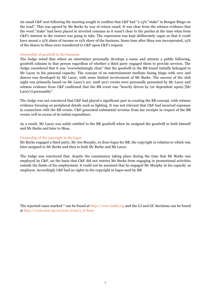An email C&F sent following the meeting sought to confirm that C&F had "a 15% "stake" in Bongos Bingo on the road". This was agreed by Mr Burke by way of return email. It was clear from the witness evidence that the word "stake" had been placed in inverted commas as it wasn't clear to the parties at the time what form C&F's interest in the venture was going to take. The expression was kept deliberately vague so that it could have meant a 15% share of income or 15% share of the business. Some time after Shua was incorporated, 15% of the shares in Shua were transferred to C&F upon C&F's request.

#### Ownership of goodwill in the business

The Judge noted that where an entertainer personally develops a name and attracts a public following, goodwill subsists in that person regardless of whether a third party engaged them to provide services. The Judge considered that it was "overwhelmingly clear" that the goodwill in the BB brand initially belonged to Mr Lacey in his personal capacity. The concept of an entertainment medium fusing bingo with rave and dances was developed by Mr Lacey, with some limited involvement of Mr Burke. The success of the club night was primarily based on Mr Lacey's act: until 2017 events were personally presented by Mr Lacey and witness evidence from C&F confirmed that the BB event was "heavily driven by (or dependent upon) [Mr Lacey's] personality".

The Judge was not convinced that C&F had played a significant part in creating the BB concept, with witness evidence focusing on peripheral details such as lighting. It was not relevant that C&F had incurred expenses in connection with the BB events. C&F generated substantial revenue from bar receipts in respect of the BB events well in excess of its initial expenditure.

As a result, Mr Lacey was solely entitled to the BB goodwill when he assigned the goodwill to both himself and Mr Burke and later to Shua.

#### Ownership of the copyright in the logos

Mr Burke engaged a third party, Mr Joe Murphy, to draw logos for BB, the copyright in relation to which was later assigned to Mr Burke and then to both Mr Burke and Mr Lacey.

The Judge was convinced that, despite the commission taking place during the time that Mr Burke was employed by C&F, on the basis that C&F did not restrict Mr Burke from engaging in promotional activities outside the limits of his employment, it could not be assumed that he engaged Mr Murphy in his capacity as employee. Accordingly C&F had no rights in the copyright in logos used by BB.

The reported cases marked \* can be found at http://www.bailii.org and the CJ and GC decisions can be found at http://curia.euro pa.eu/jcms/jcms/j\_6/hom